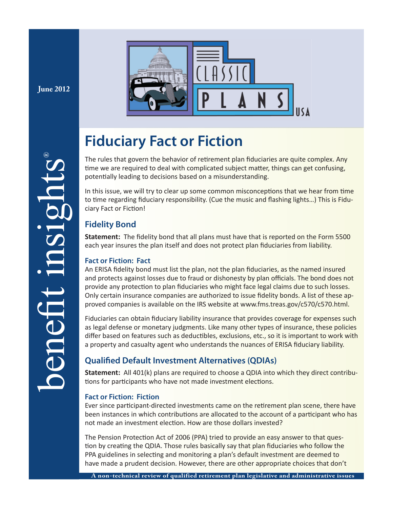**June 2012**



# **Fiduciary Fact or Fiction**

The rules that govern the behavior of retirement plan fiduciaries are quite complex. Any time we are required to deal with complicated subject matter, things can get confusing, potentially leading to decisions based on a misunderstanding.

In this issue, we will try to clear up some common misconceptions that we hear from time to time regarding fiduciary responsibility. (Cue the music and flashing lights...) This is Fiduciary Fact or Fiction!

# **Fidelity Bond**

**Statement:** The fidelity bond that all plans must have that is reported on the Form 5500 each year insures the plan itself and does not protect plan fiduciaries from liability.

# **Fact or Fiction: Fact**

An ERISA fidelity bond must list the plan, not the plan fiduciaries, as the named insured and protects against losses due to fraud or dishonesty by plan officials. The bond does not provide any protection to plan fiduciaries who might face legal claims due to such losses. Only certain insurance companies are authorized to issue fidelity bonds. A list of these approved companies is available on the IRS website at www.fms.treas.gov/c570/c570.html.

Fiduciaries can obtain fiduciary liability insurance that provides coverage for expenses such as legal defense or monetary judgments. Like many other types of insurance, these policies differ based on features such as deductibles, exclusions, etc., so it is important to work with a property and casualty agent who understands the nuances of ERISA fiduciary liability.

# **Qualified Default Investment Alternatives (QDIAs)**

**Statement:** All 401(k) plans are required to choose a QDIA into which they direct contributions for participants who have not made investment elections.

# **Fact or Fiction: Fiction**

Ever since participant-directed investments came on the retirement plan scene, there have been instances in which contributions are allocated to the account of a participant who has not made an investment election. How are those dollars invested?

The Pension Protection Act of 2006 (PPA) tried to provide an easy answer to that question by creating the QDIA. Those rules basically say that plan fiduciaries who follow the PPA guidelines in selecting and monitoring a plan's default investment are deemed to have made a prudent decision. However, there are other appropriate choices that don't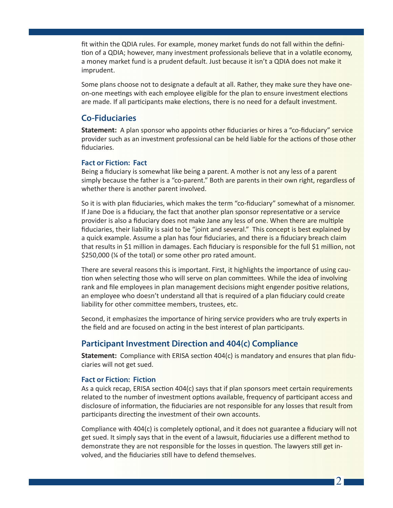fit within the QDIA rules. For example, money market funds do not fall within the definition of a QDIA; however, many investment professionals believe that in a volatile economy, a money market fund is a prudent default. Just because it isn't a QDIA does not make it imprudent.

Some plans choose not to designate a default at all. Rather, they make sure they have oneon-one meetings with each employee eligible for the plan to ensure investment elections are made. If all participants make elections, there is no need for a default investment.

# **Co-Fiduciaries**

**Statement:** A plan sponsor who appoints other fiduciaries or hires a "co-fiduciary" service provider such as an investment professional can be held liable for the actions of those other fiduciaries.

#### **Fact or Fiction: Fact**

Being a fiduciary is somewhat like being a parent. A mother is not any less of a parent simply because the father is a "co-parent." Both are parents in their own right, regardless of whether there is another parent involved.

So it is with plan fiduciaries, which makes the term "co-fiduciary" somewhat of a misnomer. If Jane Doe is a fiduciary, the fact that another plan sponsor representative or a service provider is also a fiduciary does not make Jane any less of one. When there are multiple fiduciaries, their liability is said to be "joint and several." This concept is best explained by a quick example. Assume a plan has four fiduciaries, and there is a fiduciary breach claim that results in \$1 million in damages. Each fiduciary is responsible for the full \$1 million, not \$250,000 (¼ of the total) or some other pro rated amount.

There are several reasons this is important. First, it highlights the importance of using caution when selecting those who will serve on plan committees. While the idea of involving rank and file employees in plan management decisions might engender positive relations, an employee who doesn't understand all that is required of a plan fiduciary could create liability for other committee members, trustees, etc.

Second, it emphasizes the importance of hiring service providers who are truly experts in the field and are focused on acting in the best interest of plan participants.

# **Participant Investment Direction and 404(c) Compliance**

**Statement:** Compliance with ERISA section 404(c) is mandatory and ensures that plan fiduciaries will not get sued.

#### **Fact or Fiction: Fiction**

As a quick recap, ERISA section  $404(c)$  says that if plan sponsors meet certain requirements related to the number of investment options available, frequency of participant access and disclosure of information, the fiduciaries are not responsible for any losses that result from participants directing the investment of their own accounts.

Compliance with 404(c) is completely optional, and it does not guarantee a fiduciary will not get sued. It simply says that in the event of a lawsuit, fiduciaries use a different method to demonstrate they are not responsible for the losses in question. The lawyers still get involved, and the fiduciaries still have to defend themselves.

 $\mathcal{D}_{\mathbb{Z}}$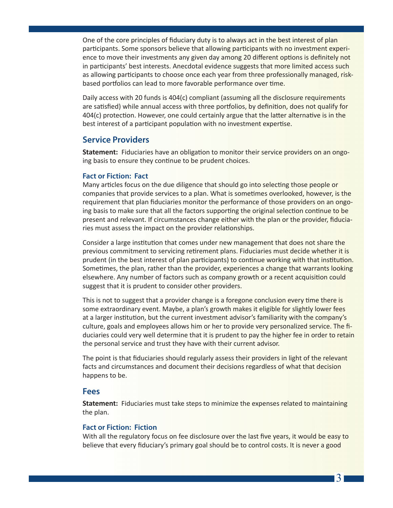One of the core principles of fiduciary duty is to always act in the best interest of plan participants. Some sponsors believe that allowing participants with no investment experience to move their investments any given day among 20 different options is definitely not in participants' best interests. Anecdotal evidence suggests that more limited access such as allowing participants to choose once each year from three professionally managed, riskbased portfolios can lead to more favorable performance over time.

Daily access with 20 funds is 404(c) compliant (assuming all the disclosure requirements are satisfied) while annual access with three portfolios, by definition, does not qualify for  $404(c)$  protection. However, one could certainly argue that the latter alternative is in the best interest of a participant population with no investment expertise.

#### **Service Providers**

**Statement:** Fiduciaries have an obligation to monitor their service providers on an ongoing basis to ensure they continue to be prudent choices.

#### **Fact or Fiction: Fact**

Many articles focus on the due diligence that should go into selecting those people or companies that provide services to a plan. What is sometimes overlooked, however, is the requirement that plan fiduciaries monitor the performance of those providers on an ongoing basis to make sure that all the factors supporting the original selection continue to be present and relevant. If circumstances change either with the plan or the provider, fiduciaries must assess the impact on the provider relationships.

Consider a large institution that comes under new management that does not share the previous commitment to servicing retirement plans. Fiduciaries must decide whether it is prudent (in the best interest of plan participants) to continue working with that institution. Sometimes, the plan, rather than the provider, experiences a change that warrants looking elsewhere. Any number of factors such as company growth or a recent acquisition could suggest that it is prudent to consider other providers.

This is not to suggest that a provider change is a foregone conclusion every time there is some extraordinary event. Maybe, a plan's growth makes it eligible for slightly lower fees at a larger institution, but the current investment advisor's familiarity with the company's culture, goals and employees allows him or her to provide very personalized service. The fiduciaries could very well determine that it is prudent to pay the higher fee in order to retain the personal service and trust they have with their current advisor.

The point is that fiduciaries should regularly assess their providers in light of the relevant facts and circumstances and document their decisions regardless of what that decision happens to be.

#### **Fees**

**Statement:** Fiduciaries must take steps to minimize the expenses related to maintaining the plan.

#### **Fact or Fiction: Fiction**

With all the regulatory focus on fee disclosure over the last five years, it would be easy to believe that every fiduciary's primary goal should be to control costs. It is never a good

3